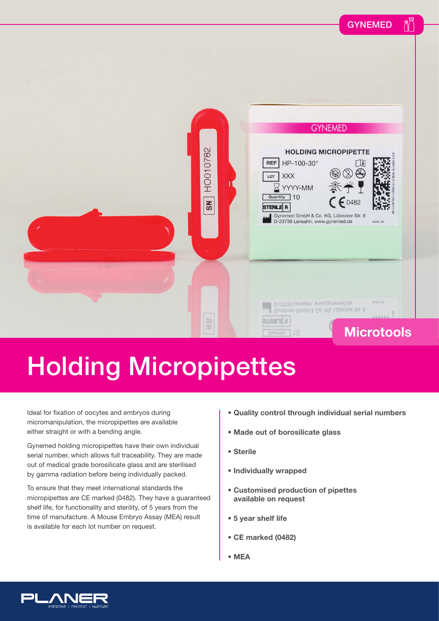

## Holding Micropipettes

Ideal for fixation of oocytes and embryos during micromanipulation, the micropipettes are available either straight or with a bending angle.

Gynemed holding micropipettes have their own individual serial number, which allows full traceability. They are made out of medical grade borosilicate glass and are sterilised by gamma radiation before being individually packed.

To ensure that they meet international standards the micropipettes are CE marked (0482). They have a guaranteed shelf life, for functionality and sterility, of 5 years from the time of manufacture. A Mouse Embryo Assay (MEA) result is available for each lot number on request.

- **Quality control through individual serial numbers**
- **Made out of borosilicate glass**
- **Sterile**
- **Individually wrapped**
- **Customised production of pipettes available on request**
- **5 year shelf life**
- **CE marked (0482)**
- **MEA**